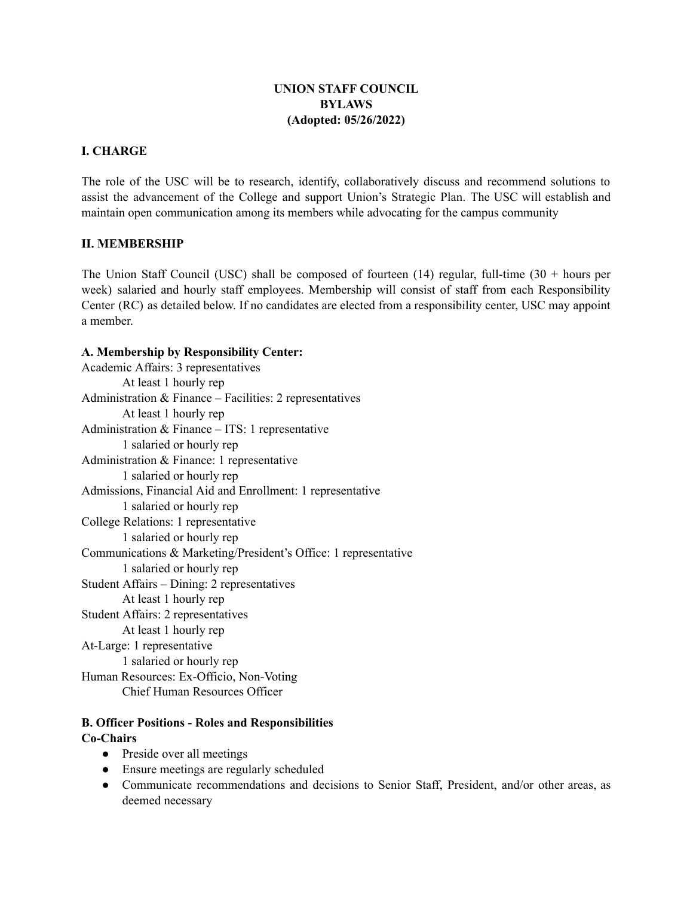# **UNION STAFF COUNCIL BYLAWS (Adopted: 05/26/2022)**

# **I. CHARGE**

The role of the USC will be to research, identify, collaboratively discuss and recommend solutions to assist the advancement of the College and support Union's Strategic Plan. The USC will establish and maintain open communication among its members while advocating for the campus community

### **II. MEMBERSHIP**

The Union Staff Council (USC) shall be composed of fourteen (14) regular, full-time (30 + hours per week) salaried and hourly staff employees. Membership will consist of staff from each Responsibility Center (RC) as detailed below. If no candidates are elected from a responsibility center, USC may appoint a member.

# **A. Membership by Responsibility Center:**

Academic Affairs: 3 representatives At least 1 hourly rep Administration & Finance – Facilities: 2 representatives At least 1 hourly rep Administration & Finance – ITS: 1 representative 1 salaried or hourly rep Administration & Finance: 1 representative 1 salaried or hourly rep Admissions, Financial Aid and Enrollment: 1 representative 1 salaried or hourly rep College Relations: 1 representative 1 salaried or hourly rep Communications & Marketing/President's Office: 1 representative 1 salaried or hourly rep Student Affairs – Dining: 2 representatives At least 1 hourly rep Student Affairs: 2 representatives At least 1 hourly rep At-Large: 1 representative 1 salaried or hourly rep Human Resources: Ex-Officio, Non-Voting Chief Human Resources Officer

# **B. Officer Positions - Roles and Responsibilities Co-Chairs**

- Preside over all meetings
- Ensure meetings are regularly scheduled
- Communicate recommendations and decisions to Senior Staff, President, and/or other areas, as deemed necessary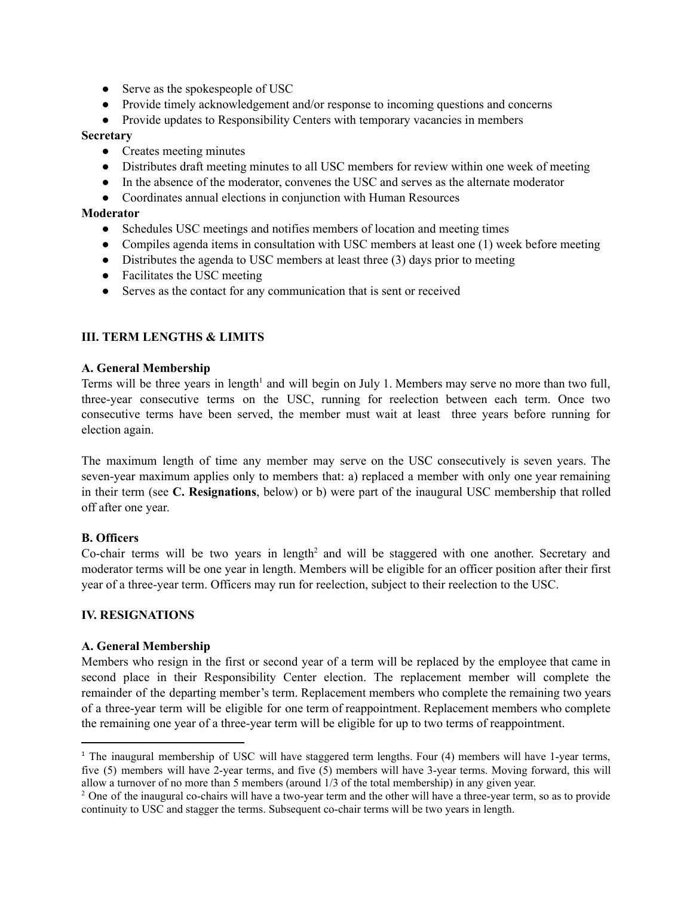- Serve as the spokespeople of USC
- Provide timely acknowledgement and/or response to incoming questions and concerns
- Provide updates to Responsibility Centers with temporary vacancies in members

#### **Secretary**

- Creates meeting minutes
- Distributes draft meeting minutes to all USC members for review within one week of meeting
- In the absence of the moderator, convenes the USC and serves as the alternate moderator
- Coordinates annual elections in conjunction with Human Resources

#### **Moderator**

- Schedules USC meetings and notifies members of location and meeting times
- Compiles agenda items in consultation with USC members at least one (1) week before meeting
- Distributes the agenda to USC members at least three (3) days prior to meeting
- Facilitates the USC meeting
- Serves as the contact for any communication that is sent or received

### **III. TERM LENGTHS & LIMITS**

#### **A. General Membership**

Terms will be three years in length<sup>1</sup> and will begin on July 1. Members may serve no more than two full, three-year consecutive terms on the USC, running for reelection between each term. Once two consecutive terms have been served, the member must wait at least three years before running for election again.

The maximum length of time any member may serve on the USC consecutively is seven years. The seven-year maximum applies only to members that: a) replaced a member with only one year remaining in their term (see **C. Resignations**, below) or b) were part of the inaugural USC membership that rolled off after one year.

### **B. Officers**

Co-chair terms will be two years in length <sup>2</sup> and will be staggered with one another. Secretary and moderator terms will be one year in length. Members will be eligible for an officer position after their first year of a three-year term. Officers may run for reelection, subject to their reelection to the USC.

#### **IV. RESIGNATIONS**

#### **A. General Membership**

Members who resign in the first or second year of a term will be replaced by the employee that came in second place in their Responsibility Center election. The replacement member will complete the remainder of the departing member's term. Replacement members who complete the remaining two years of a three-year term will be eligible for one term of reappointment. Replacement members who complete the remaining one year of a three-year term will be eligible for up to two terms of reappointment.

<sup>&</sup>lt;sup>1</sup> The inaugural membership of USC will have staggered term lengths. Four (4) members will have 1-year terms, five (5) members will have 2-year terms, and five (5) members will have 3-year terms. Moving forward, this will allow a turnover of no more than 5 members (around 1/3 of the total membership) in any given year.

 $2$  One of the inaugural co-chairs will have a two-year term and the other will have a three-year term, so as to provide continuity to USC and stagger the terms. Subsequent co-chair terms will be two years in length.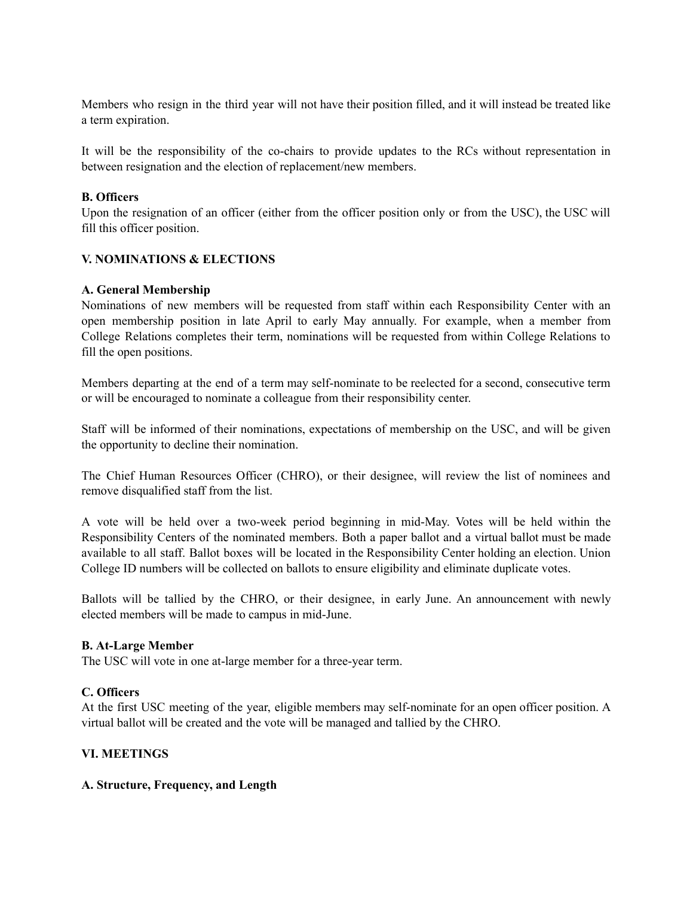Members who resign in the third year will not have their position filled, and it will instead be treated like a term expiration.

It will be the responsibility of the co-chairs to provide updates to the RCs without representation in between resignation and the election of replacement/new members.

# **B. Officers**

Upon the resignation of an officer (either from the officer position only or from the USC), the USC will fill this officer position.

# **V. NOMINATIONS & ELECTIONS**

### **A. General Membership**

Nominations of new members will be requested from staff within each Responsibility Center with an open membership position in late April to early May annually. For example, when a member from College Relations completes their term, nominations will be requested from within College Relations to fill the open positions.

Members departing at the end of a term may self-nominate to be reelected for a second, consecutive term or will be encouraged to nominate a colleague from their responsibility center.

Staff will be informed of their nominations, expectations of membership on the USC, and will be given the opportunity to decline their nomination.

The Chief Human Resources Officer (CHRO), or their designee, will review the list of nominees and remove disqualified staff from the list.

A vote will be held over a two-week period beginning in mid-May. Votes will be held within the Responsibility Centers of the nominated members. Both a paper ballot and a virtual ballot must be made available to all staff. Ballot boxes will be located in the Responsibility Center holding an election. Union College ID numbers will be collected on ballots to ensure eligibility and eliminate duplicate votes.

Ballots will be tallied by the CHRO, or their designee, in early June. An announcement with newly elected members will be made to campus in mid-June.

#### **B. At-Large Member**

The USC will vote in one at-large member for a three-year term.

#### **C. Officers**

At the first USC meeting of the year, eligible members may self-nominate for an open officer position. A virtual ballot will be created and the vote will be managed and tallied by the CHRO.

### **VI. MEETINGS**

# **A. Structure, Frequency, and Length**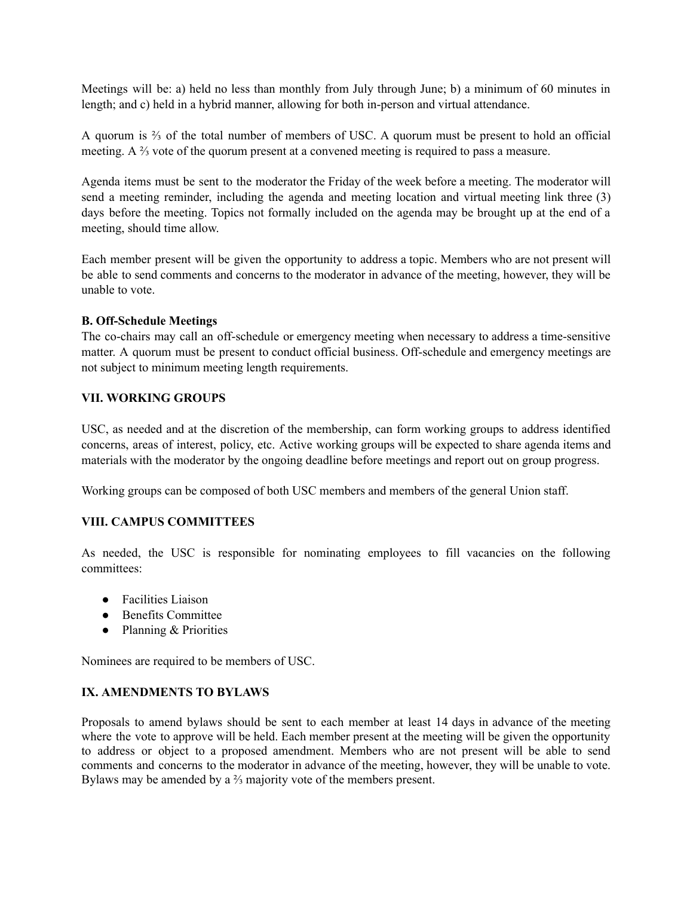Meetings will be: a) held no less than monthly from July through June; b) a minimum of 60 minutes in length; and c) held in a hybrid manner, allowing for both in-person and virtual attendance.

A quorum is ⅔ of the total number of members of USC. A quorum must be present to hold an official meeting. A ⅔ vote of the quorum present at a convened meeting is required to pass a measure.

Agenda items must be sent to the moderator the Friday of the week before a meeting. The moderator will send a meeting reminder, including the agenda and meeting location and virtual meeting link three (3) days before the meeting. Topics not formally included on the agenda may be brought up at the end of a meeting, should time allow.

Each member present will be given the opportunity to address a topic. Members who are not present will be able to send comments and concerns to the moderator in advance of the meeting, however, they will be unable to vote.

### **B. Off-Schedule Meetings**

The co-chairs may call an off-schedule or emergency meeting when necessary to address a time-sensitive matter. A quorum must be present to conduct official business. Off-schedule and emergency meetings are not subject to minimum meeting length requirements.

### **VII. WORKING GROUPS**

USC, as needed and at the discretion of the membership, can form working groups to address identified concerns, areas of interest, policy, etc. Active working groups will be expected to share agenda items and materials with the moderator by the ongoing deadline before meetings and report out on group progress.

Working groups can be composed of both USC members and members of the general Union staff.

### **VIII. CAMPUS COMMITTEES**

As needed, the USC is responsible for nominating employees to fill vacancies on the following committees:

- Facilities Liaison
- Benefits Committee
- Planning & Priorities

Nominees are required to be members of USC.

### **IX. AMENDMENTS TO BYLAWS**

Proposals to amend bylaws should be sent to each member at least 14 days in advance of the meeting where the vote to approve will be held. Each member present at the meeting will be given the opportunity to address or object to a proposed amendment. Members who are not present will be able to send comments and concerns to the moderator in advance of the meeting, however, they will be unable to vote. Bylaws may be amended by a ⅔ majority vote of the members present.